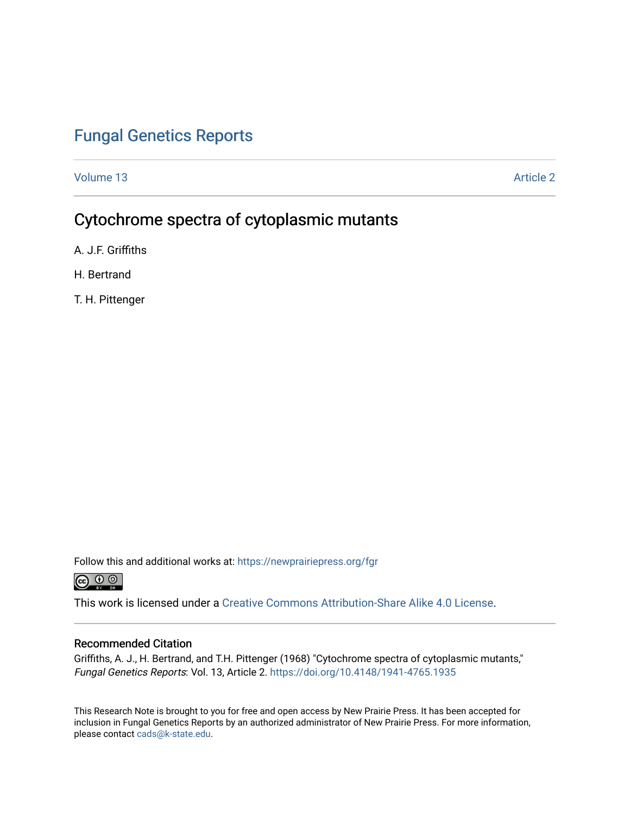### [Fungal Genetics Reports](https://newprairiepress.org/fgr)

[Volume 13](https://newprairiepress.org/fgr/vol13) Article 2

# Cytochrome spectra of cytoplasmic mutants

A. J.F. Griffiths

H. Bertrand

T. H. Pittenger

Follow this and additional works at: [https://newprairiepress.org/fgr](https://newprairiepress.org/fgr?utm_source=newprairiepress.org%2Ffgr%2Fvol13%2Fiss1%2F2&utm_medium=PDF&utm_campaign=PDFCoverPages) 



This work is licensed under a [Creative Commons Attribution-Share Alike 4.0 License.](https://creativecommons.org/licenses/by-sa/4.0/)

#### Recommended Citation

Griffiths, A. J., H. Bertrand, and T.H. Pittenger (1968) "Cytochrome spectra of cytoplasmic mutants," Fungal Genetics Reports: Vol. 13, Article 2. <https://doi.org/10.4148/1941-4765.1935>

This Research Note is brought to you for free and open access by New Prairie Press. It has been accepted for inclusion in Fungal Genetics Reports by an authorized administrator of New Prairie Press. For more information, please contact [cads@k-state.edu.](mailto:cads@k-state.edu)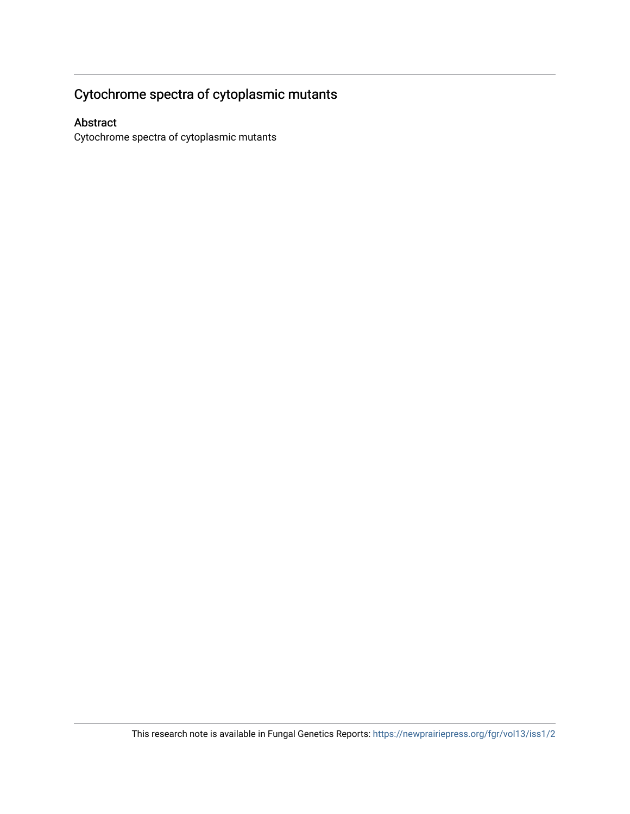# Cytochrome spectra of cytoplasmic mutants

### Abstract

Cytochrome spectra of cytoplasmic mutants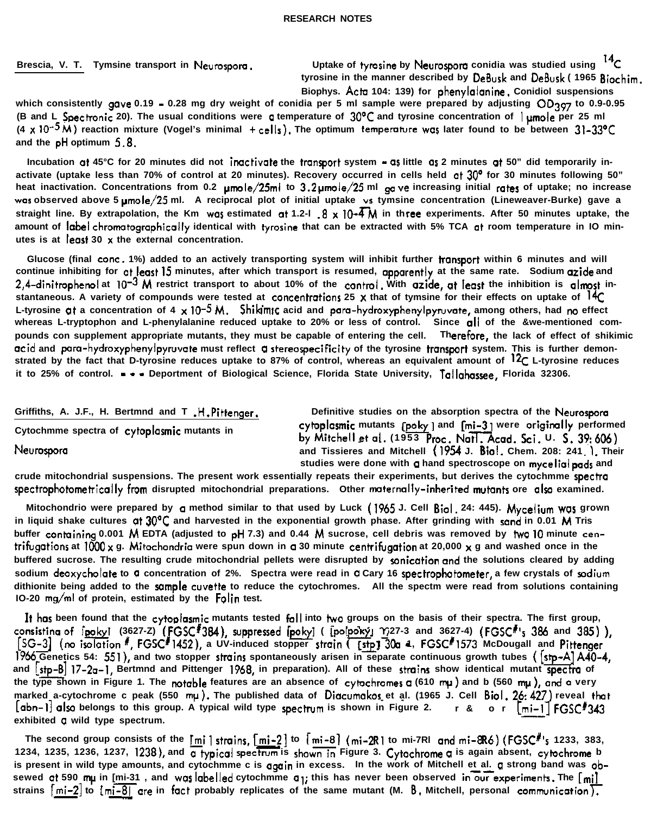**Griffiths, A. J.F., H. Bertmnd and T .H.Pittenger.**

**Cytochmme spectra of cytoplasmic mutants in**

Neurospora

**Definitive studies on the absorption spectra of the Neurospom** cytoplosmic mutants [poky ] and [mi-3] were originally performed by Mitchell et al. (1953 Proc. Natl. Acad. Sci. U. S. 39:60 **and Tissieres and Mitchell (I954 J. Biol. Chem. 208: 241 ). Their** studies were done with a hand spectroscope on mycelial pads and

**crude mitochondrial suspensions. The present work essentially repeats their experiments, but derives the cytochmme spectm** spectrophotometrically from disrupted mitochondrial preparations. Other maternally-inherited mutants ore also examined.

**Mitochondrio were prepared by a method similar to that used by Luck (1965 J. Cell Biol. 24: 445). Mycelium was grown** in liquid shake cultures at 30°C and harvested in the exponential growth phase. After grinding with sand in 0.01 M Tris buffer containing 0.001 M EDTA (adjusted to pH 7.3) and 0.44 M sucrose, cell debris was removed by two 10 minute cen**trifugotions at ICQO x g. Mitochondria were spun down in a 30 minute centrifugation at 20,000 x g and washed once in the buffered sucrose. The resulting crude mitochondrial pellets were disrupted by wnication and the solutions cleared by adding** sodium deoxycholate to a concentration of 2%. Spectra were read in a Cary 16 spectrophotometer, a few crystals of sodium **dithionite being added to the sample cwette to reduce the cytochromes. All the spectm were read from solutions containing IO-20 mg/ml of protein, estimated by the Folin test.**

It has been found that the cytoplasmic mutants tested fall into two groups on the basis of their spectra. The first group, at the cytoplasmic mutants tested fall into two groups on the basis of their spectra. The first group,<br>(3627-2) (FGSC<sup>#</sup>384), suppressed [poky] ([polpoky] 1,27-3 and 3627-4) (FGSC<sup>#</sup>'s 386 and 385)),<br>#, FGSC<sup>#</sup>1452), a UV-**I966 Genetics 54: 55l), and two stopper strains spontaneously arisen in separate continuous growth tubes ( [Stp-A] A40-4, and [\*I l7-20-1, Bertmnd and Pittenger 1968, in preparation). All of these strains show identical mutant spectra of** the type shown in Figure 1. The notable features are an absence of cytochromes **a** (610 mu) and b (560 mu), and a very **marked a-cytochrome c peak (550 mp). The published data of Diacumakos et al. (1965 J. Cell Biol. 26:427) reveal that - - [abn-I] al10 belongs to this group. A typical wild type rpectwm is shown in Figure 2. r& or [mi-l-1 FGSC1343 exhibited a wild type spectrum.** ished<br>type<br><u>- mi - 2</u><br>trum

**The second group consists of the [mi] stmins, [mi-21 to r mi-B] (mi-2Rl to mi-7Rl and mi-8R6) (FGSCI's 1233, 383, 1234, 1235, 1236, 1237, 1238), and rbpical spectrum is shown Figure 3. Cytochrome a is again absent, cytochrome b** is present in wild type amounts, and cytochmme c is **again** in excess. In the work of Mitchell et al. a strong band was obsewed at 590 mu in [mi-31, and was abelled cytochmme a<sub>1</sub>; this has never been observed in our experiments. The [mi] strains  $\lceil$ mi-2 $\rceil$  to  $\lfloor$ mi-8 $\rceil$  are in fact probably replicates of the same mutant (M. 8. Mitchell, personal communication<sup>r</sup> **econd group cons**<br>
235, 1236, 1237,<br> **1** in wild type am<br> **1** 590 mµ in <u>[mi-3]</u><br>
<u>mi-2]</u> to [m<u>i-8]</u>